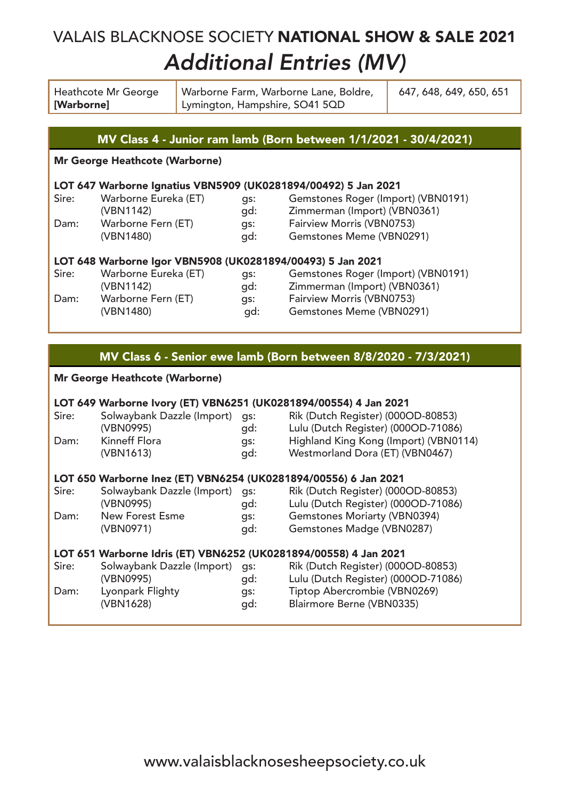## VALAIS BLACKNOSE SOCIETY NATIONAL SHOW & SALE 2021 Additional Entries (MV)

| Heathcote Mr George<br>[Warborne] | Warborne Farm, Warborne Lane, Boldre,<br>Lymington, Hampshire, SO41 5QD | 647, 648, 649, 650, 651 |
|-----------------------------------|-------------------------------------------------------------------------|-------------------------|
|                                   |                                                                         |                         |

### MV Class 4 - Junior ram lamb (Born between 1/1/2021 - 30/4/2021)

### Mr George Heathcote (Warborne)

### LOT 647 Warborne Ignatius VBN5909 (UK0281894/00492) 5 Jan 2021

| Sire: | Warborne Eureka (ET) | gs: | Gemstones Roger (Import) (VBN0191) |
|-------|----------------------|-----|------------------------------------|
|       | (VBN1142)            | ad: | Zimmerman (Import) (VBN0361)       |
| Dam:  | Warborne Fern (ET)   | as: | Fairview Morris (VBN0753)          |
|       | (VBN1480)            | ad: | Gemstones Meme (VBN0291)           |

# LOT 648 Warborne Igor VBN5908 (UK0281894/00493) 5 Jan 2021<br>Sire: Warborne Eureka (ET) gs: Gemstones Roger (I

Sire: Warborne Eureka (ET) gs: Gemstones Roger (Import) (VBN0191) (VBN1142) gd: Zimmerman (Import) (VBN0361)<br>Warborne Fern (ET) gs: Fairview Morris (VBN0753) Dam: Warborne Fern (ET) gs: Fairview Morris (VBN0753) gd: Gemstones Meme (VBN0291)

## MV Class 6 - Senior ewe lamb (Born between 8/8/2020 - 7/3/2021)

#### Mr George Heathcote (Warborne)

| Sire:<br>Dam:                                                    | LOT 649 Warborne Ivory (ET) VBN6251 (UK0281894/00554) 4 Jan 2021<br>Solwaybank Dazzle (Import)<br>(VBN0995)<br>Kinneff Flora<br>(VBN1613) | qs:<br>gd:<br>gs:<br>gd: | Rik (Dutch Register) (000OD-80853)<br>Lulu (Dutch Register) (000OD-71086)<br>Highland King Kong (Import) (VBN0114)<br>Westmorland Dora (ET) (VBN0467) |  |  |  |
|------------------------------------------------------------------|-------------------------------------------------------------------------------------------------------------------------------------------|--------------------------|-------------------------------------------------------------------------------------------------------------------------------------------------------|--|--|--|
| LOT 650 Warborne Inez (ET) VBN6254 (UK0281894/00556) 6 Jan 2021  |                                                                                                                                           |                          |                                                                                                                                                       |  |  |  |
| Sire:                                                            | Solwaybank Dazzle (Import)<br>(VBN0995)                                                                                                   | qs:<br>gd:               | Rik (Dutch Register) (000OD-80853)<br>Lulu (Dutch Register) (000OD-71086)                                                                             |  |  |  |
| Dam:                                                             | New Forest Esme<br>(VBN0971)                                                                                                              | qs:<br>qd:               | Gemstones Moriarty (VBN0394)<br>Gemstones Madge (VBN0287)                                                                                             |  |  |  |
| LOT 651 Warborne Idris (ET) VBN6252 (UK0281894/00558) 4 Jan 2021 |                                                                                                                                           |                          |                                                                                                                                                       |  |  |  |
| Sire:<br>Dam:                                                    | Solwaybank Dazzle (Import)<br>(VBN0995)<br>Lyonpark Flighty<br>(VBN1628)                                                                  | qs:<br>gd:<br>qs:<br>gd: | Rik (Dutch Register) (000OD-80853)<br>Lulu (Dutch Register) (000OD-71086)<br>Tiptop Abercrombie (VBN0269)<br>Blairmore Berne (VBN0335)                |  |  |  |
|                                                                  |                                                                                                                                           |                          |                                                                                                                                                       |  |  |  |